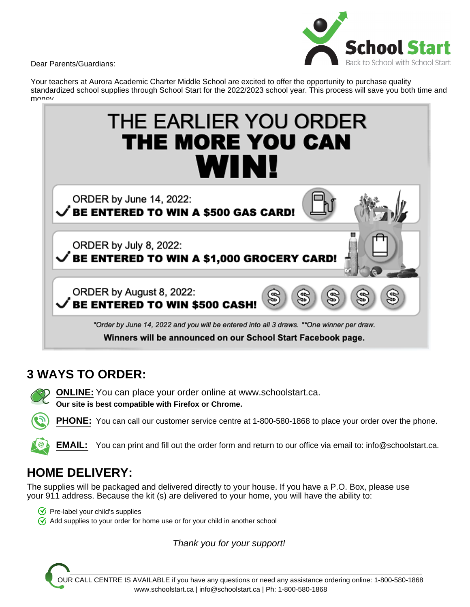Dear Parents/Guardians:



Your teachers at Aurora Academic Charter Middle School are excited to offer the opportunity to purchase quality standardized school supplies through School Start for the 2022/2023 school year. This process will save you both time and money



# **3 WAYS TO ORDER:**

**ONLINE:** You can place your order online at www.schoolstart.ca. **Our site is best compatible with Firefox or Chrome.**

**PHONE:** You can call our customer service centre at 1-800-580-1868 to place your order over the phone.

**EMAIL:** You can print and fill out the order form and return to our office via email to: info@schoolstart.ca.

# **HOME DELIVERY:**

The supplies will be packaged and delivered directly to your house. If you have a P.O. Box, please use your 911 address. Because the kit (s) are delivered to your home, you will have the ability to:

- $\bigcirc$  Pre-label your child's supplies
- $\sqrt{\sqrt{2}}$  Add supplies to your order for home use or for your child in another school

Thank you for your support!

OUR CALL CENTRE IS AVAILABLE if you have any questions or need any assistance ordering online: 1-800-580-1868 www.schoolstart.ca | info@schoolstart.ca | Ph: 1-800-580-1868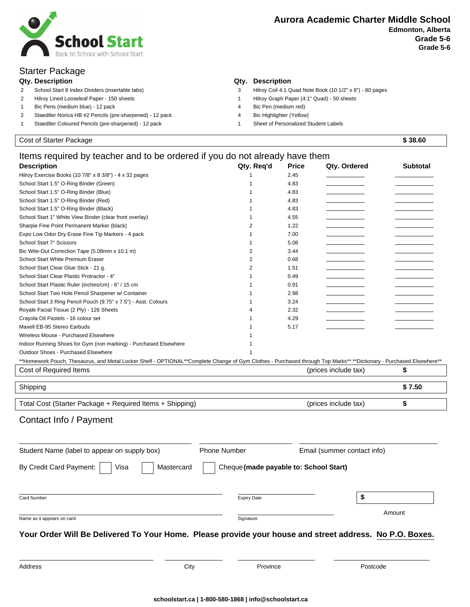

## Starter Package

- 
- 
- 1 Bic Pens (medium blue) 12 pack 4 Bic Pen (medium red)
- 2 Staedtler Norica HB #2 Pencils (pre-sharpened) 12 pack 4 Bic Highlighter (Yellow)
- 1 Staedtler Coloured Pencils (pre-sharpened) 12 pack 1 Sheet of Personalized Student Labels

### **Qty. Description Qty. Description**

- 2 School Start 8 Index Dividers (insertable tabs) 3 Hilroy Coil 4:1 Quad Note Book (10 1/2" x 8") 80 pages
- 2 Hilroy Lined Looseleaf Paper 150 sheets 1 Hilroy Graph Paper (4:1" Quad) 50 sheets
	-
	-
	-

| Cost of Starter Package                                                                                                                                             |                                        |              |                             | \$38.60         |
|---------------------------------------------------------------------------------------------------------------------------------------------------------------------|----------------------------------------|--------------|-----------------------------|-----------------|
| Items required by teacher and to be ordered if you do not already have them                                                                                         |                                        |              |                             |                 |
| <b>Description</b>                                                                                                                                                  | Qty. Req'd                             | <b>Price</b> | Qty. Ordered                | <b>Subtotal</b> |
| Hilroy Exercise Books (10 7/8" x 8 3/8") - 4 x 32 pages                                                                                                             | 1                                      | 2.45         |                             |                 |
| School Start 1.5" O-Ring Binder (Green)                                                                                                                             | 1                                      | 4.83         |                             |                 |
| School Start 1.5" O-Ring Binder (Blue)                                                                                                                              | 1                                      | 4.83         |                             |                 |
| School Start 1.5" O-Ring Binder (Red)                                                                                                                               | 1                                      | 4.83         |                             |                 |
| School Start 1.5" O-Ring Binder (Black)                                                                                                                             | 1                                      | 4.83         |                             |                 |
| School Start 1" White View Binder (clear front overlay)                                                                                                             | 1                                      | 4.55         |                             |                 |
| Sharpie Fine Point Permanent Marker (black)                                                                                                                         | 2                                      | 1.22         |                             |                 |
| Expo Low Odor Dry Erase Fine Tip Markers - 4 pack                                                                                                                   | 1                                      | 7.00         |                             |                 |
| School Start 7" Scissors                                                                                                                                            | 1                                      | 5.08         |                             |                 |
| Bic Wite-Out Correction Tape (5.08mm x 10.1 m)                                                                                                                      | 2                                      | 3.44         |                             |                 |
| School Start White Premium Eraser                                                                                                                                   | 2                                      | 0.68         |                             |                 |
| School Start Clear Glue Stick - 21 g.                                                                                                                               | 2                                      | 1.51         |                             |                 |
| School Start Clear Plastic Protractor - 4"                                                                                                                          | 1                                      | 0.49         |                             |                 |
| School Start Plastic Ruler (inches/cm) - 6" / 15 cm                                                                                                                 | 1                                      | 0.91         |                             |                 |
| School Start Two Hole Pencil Sharpener w/ Container                                                                                                                 | 1                                      | 2.98         |                             |                 |
| School Start 3 Ring Pencil Pouch (9.75" x 7.5") - Asst. Colours                                                                                                     | 1                                      | 3.24         |                             |                 |
| Royale Facial Tissue (2 Ply) - 126 Sheets                                                                                                                           | 4                                      | 2.32         |                             |                 |
| Crayola Oil Pastels - 16 colour set                                                                                                                                 | 1                                      | 4.29         |                             |                 |
| Maxell EB-95 Stereo Earbuds                                                                                                                                         | 1                                      | 5.17         |                             |                 |
| Wireless Mouse - Purchased Elsewhere                                                                                                                                |                                        |              |                             |                 |
| Indoor Running Shoes for Gym (non marking) - Purchased Elsewhere                                                                                                    | 1                                      |              |                             |                 |
| Outdoor Shoes - Purchased Elsewhere                                                                                                                                 | 1                                      |              |                             |                 |
| **Homework Pouch, Thesaurus, and Metal Locker Shelf - OPTIONAL**Complete Change of Gym Clothes - Purchased through Top Marks** **Dictionary - Purchased Elsewhere** |                                        |              |                             |                 |
| Cost of Required Items<br>(prices include tax)                                                                                                                      |                                        |              | \$                          |                 |
| Shipping                                                                                                                                                            |                                        |              |                             | \$7.50          |
|                                                                                                                                                                     |                                        |              |                             |                 |
| Total Cost (Starter Package + Required Items + Shipping)                                                                                                            | (prices include tax)                   |              | \$                          |                 |
|                                                                                                                                                                     |                                        |              |                             |                 |
| Contact Info / Payment                                                                                                                                              |                                        |              |                             |                 |
| Student Name (label to appear on supply box)                                                                                                                        | <b>Phone Number</b>                    |              | Email (summer contact info) |                 |
| By Credit Card Payment:<br>Mastercard<br>Visa                                                                                                                       | Cheque (made payable to: School Start) |              |                             |                 |
| <b>Card Number</b>                                                                                                                                                  | <b>Expiry Date</b>                     |              | \$                          |                 |
|                                                                                                                                                                     |                                        |              |                             | Amount          |
| Name as it appears on card                                                                                                                                          | Signature                              |              |                             |                 |
| Your Order Will Be Delivered To Your Home. Please provide your house and street address. No P.O. Boxes.                                                             |                                        |              |                             |                 |